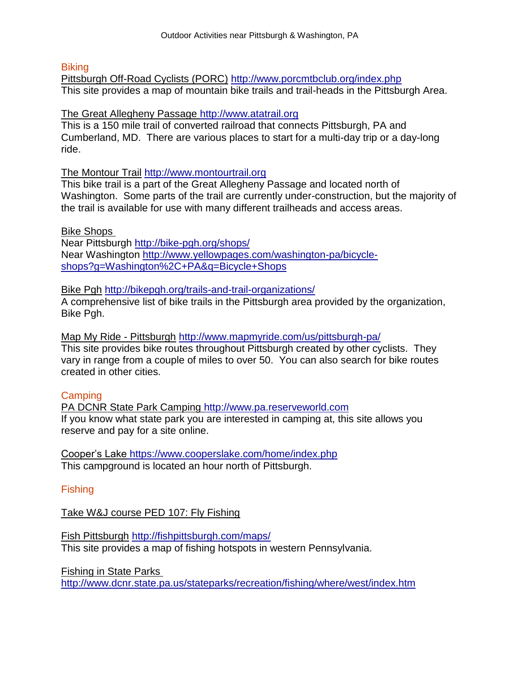#### **Biking**

Pittsburgh Off-Road Cyclists (PORC) <http://www.porcmtbclub.org/index.php> This site provides a map of mountain bike trails and trail-heads in the Pittsburgh Area.

#### The Great Allegheny Passage [http://www.atatrail.org](http://www.atatrail.org/)

This is a 150 mile trail of converted railroad that connects Pittsburgh, PA and Cumberland, MD. There are various places to start for a multi-day trip or a day-long ride.

#### The Montour Trail [http://www.montourtrail.org](http://www.montourtrail.org/)

This bike trail is a part of the Great Allegheny Passage and located north of Washington. Some parts of the trail are currently under-construction, but the majority of the trail is available for use with many different trailheads and access areas.

## Bike Shops

Near Pittsburgh<http://bike-pgh.org/shops/> Near Washington [http://www.yellowpages.com/washington-pa/bicycle](http://www.yellowpages.com/washington-pa/bicycle-shops?g=Washington,+PA&q=Bicycle+Shops)[shops?g=Washington%2C+PA&q=Bicycle+Shops](http://www.yellowpages.com/washington-pa/bicycle-shops?g=Washington,+PA&q=Bicycle+Shops)

Bike Pgh <http://bikepgh.org/trails-and-trail-organizations/>

A comprehensive list of bike trails in the Pittsburgh area provided by the organization, Bike Pgh.

Map My Ride - Pittsburgh <http://www.mapmyride.com/us/pittsburgh-pa/>

This site provides bike routes throughout Pittsburgh created by other cyclists. They vary in range from a couple of miles to over 50. You can also search for bike routes created in other cities.

# **Camping**

PA DCNR State Park Camping [http://www.pa.reserveworld.com](http://www.pa.reserveworld.com/) If you know what state park you are interested in camping at, this site allows you reserve and pay for a site online.

Cooper's Lake [https://www.cooperslake.com/home/index.php](http://livepage.apple.com/) This campground is located an hour north of Pittsburgh.

# Fishing

Take W&J course PED 107: Fly Fishing

Fish Pittsburgh <http://fishpittsburgh.com/maps/> This site provides a map of fishing hotspots in western Pennsylvania.

Fishing in State Parks

<http://www.dcnr.state.pa.us/stateparks/recreation/fishing/where/west/index.htm>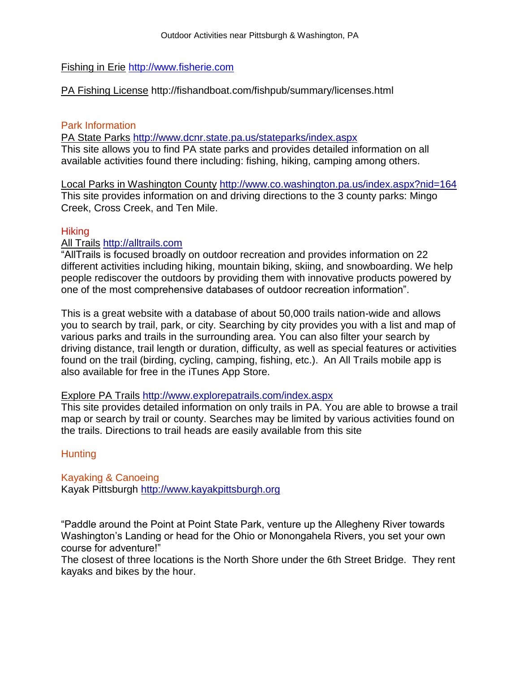## Fishing in Erie [http://www.fisherie.com](http://www.fisherie.com/)

PA Fishing License http://fishandboat.com/fishpub/summary/licenses.html

# Park Information

PA State Parks <http://www.dcnr.state.pa.us/stateparks/index.aspx> This site allows you to find PA state parks and provides detailed information on all available activities found there including: fishing, hiking, camping among others.

Local Parks in Washington County [http://www.co.washington.pa.us/index.aspx?nid=164](http://livepage.apple.com/) This site provides information on and driving directions to the 3 county parks: Mingo Creek, Cross Creek, and Ten Mile.

## **Hiking**

#### All Trails [http://alltrails.com](http://alltrails.com/)

"AllTrails is focused broadly on outdoor recreation and provides information on 22 different activities including hiking, mountain biking, skiing, and snowboarding. We help people rediscover the outdoors by providing them with innovative products powered by one of the most comprehensive databases of outdoor recreation information".

This is a great website with a database of about 50,000 trails nation-wide and allows you to search by trail, park, or city. Searching by city provides you with a list and map of various parks and trails in the surrounding area. You can also filter your search by driving distance, trail length or duration, difficulty, as well as special features or activities found on the trail (birding, cycling, camping, fishing, etc.). An All Trails mobile app is also available for free in the iTunes App Store.

#### Explore PA Trails <http://www.explorepatrails.com/index.aspx>

This site provides detailed information on only trails in PA. You are able to browse a trail map or search by trail or county. Searches may be limited by various activities found on the trails. Directions to trail heads are easily available from this site

#### **Hunting**

Kayaking & Canoeing Kayak Pittsburgh [http://www.kayakpittsburgh.org](http://www.kayakpittsburgh.org/)

"Paddle around the Point at Point State Park, venture up the Allegheny River towards Washington's Landing or head for the Ohio or Monongahela Rivers, you set your own course for adventure!"

The closest of three locations is the North Shore under the 6th Street Bridge. They rent kayaks and bikes by the hour.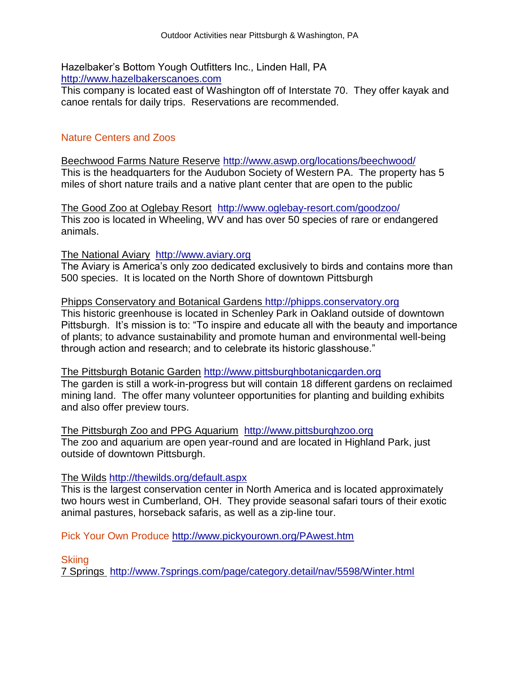Hazelbaker's Bottom Yough Outfitters Inc., Linden Hall, PA [http://www.hazelbakerscanoes.com](http://www.hazelbakerscanoes.com/)

This company is located east of Washington off of Interstate 70. They offer kayak and canoe rentals for daily trips. Reservations are recommended.

# Nature Centers and Zoos

Beechwood Farms Nature Reserve <http://www.aswp.org/locations/beechwood/> This is the headquarters for the Audubon Society of Western PA. The property has 5 miles of short nature trails and a native plant center that are open to the public

The Good Zoo at Oglebay Resort <http://www.oglebay-resort.com/goodzoo/> This zoo is located in Wheeling, WV and has over 50 species of rare or endangered animals.

The National Aviary [http://www.aviary.org](http://www.aviary.org/)

The Aviary is America's only zoo dedicated exclusively to birds and contains more than 500 species. It is located on the North Shore of downtown Pittsburgh

Phipps Conservatory and Botanical Gardens [http://phipps.conservatory.org](http://phipps.conservatory.org/) This historic greenhouse is located in Schenley Park in Oakland outside of downtown Pittsburgh. It's mission is to: "To inspire and educate all with the beauty and importance of plants; to advance sustainability and promote human and environmental well-being through action and research; and to celebrate its historic glasshouse."

The Pittsburgh Botanic Garden [http://www.pittsburghbotanicgarden.org](http://www.pittsburghbotanicgarden.org/) The garden is still a work-in-progress but will contain 18 different gardens on reclaimed mining land. The offer many volunteer opportunities for planting and building exhibits and also offer preview tours.

The Pittsburgh Zoo and PPG Aquarium [http://www.pittsburghzoo.org](http://livepage.apple.com/) The zoo and aquarium are open year-round and are located in Highland Park, just outside of downtown Pittsburgh.

#### The Wilds <http://thewilds.org/default.aspx>

This is the largest conservation center in North America and is located approximately two hours west in Cumberland, OH. They provide seasonal safari tours of their exotic animal pastures, horseback safaris, as well as a zip-line tour.

Pick Your Own Produce<http://www.pickyourown.org/PAwest.htm>

**Skiing** 

7 Springs <http://www.7springs.com/page/category.detail/nav/5598/Winter.html>